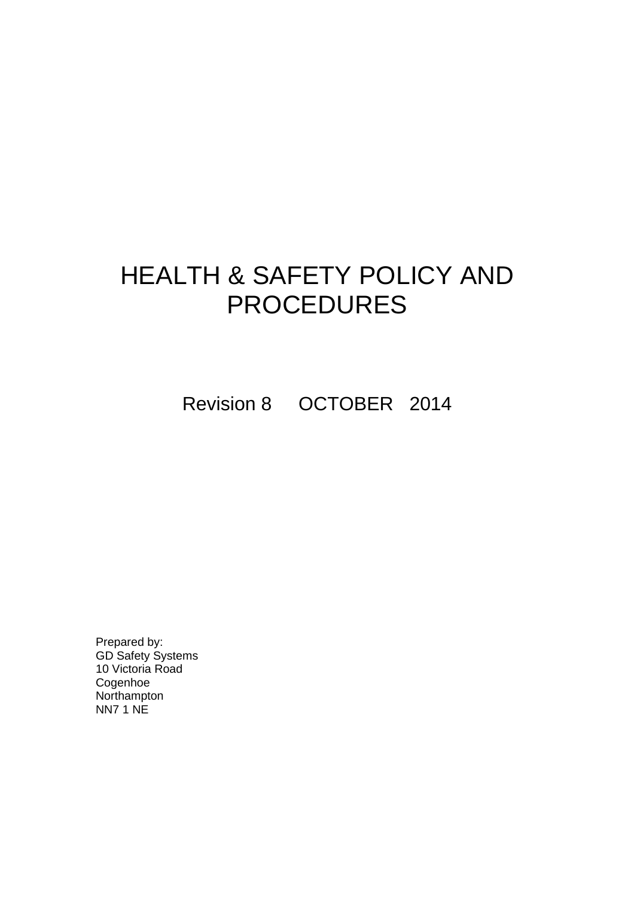# HEALTH & SAFETY POLICY AND PROCEDURES

Revision 8 OCTOBER 2014

Prepared by: GD Safety Systems 10 Victoria Road Cogenhoe **Northampton** NN7 1 NE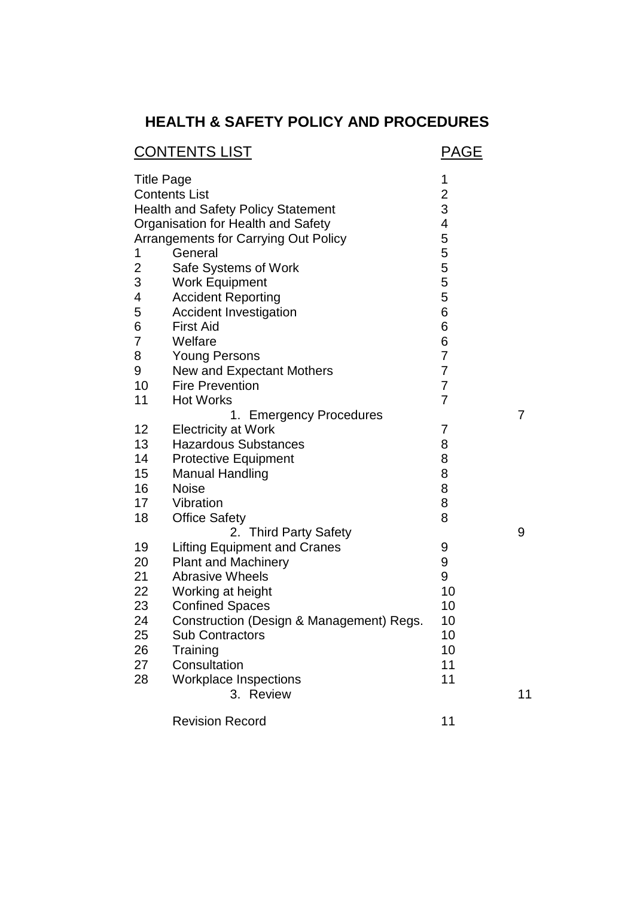# **HEALTH & SAFETY POLICY AND PROCEDURES**

|                   | <b>CONTENTS LIST</b>                        | PAGE           |    |
|-------------------|---------------------------------------------|----------------|----|
| <b>Title Page</b> |                                             | 1              |    |
|                   | <b>Contents List</b>                        | $\frac{2}{3}$  |    |
|                   | <b>Health and Safety Policy Statement</b>   |                |    |
|                   | Organisation for Health and Safety          | 4              |    |
|                   | <b>Arrangements for Carrying Out Policy</b> | 5              |    |
| 1                 | General                                     | 5              |    |
| 2                 | Safe Systems of Work                        | 5              |    |
| 3                 | <b>Work Equipment</b>                       | 5              |    |
| 4                 | <b>Accident Reporting</b>                   | 5              |    |
| 5                 | <b>Accident Investigation</b>               | 6              |    |
| 6                 | <b>First Aid</b>                            | 6              |    |
| 7                 | Welfare                                     | 6              |    |
| 8                 | <b>Young Persons</b>                        | $\overline{7}$ |    |
| 9                 | <b>New and Expectant Mothers</b>            | $\overline{7}$ |    |
| 10                | <b>Fire Prevention</b>                      | 7              |    |
| 11                | <b>Hot Works</b>                            | 7              |    |
|                   | 1. Emergency Procedures                     |                | 7  |
| 12                | <b>Electricity at Work</b>                  | 7              |    |
| 13                | <b>Hazardous Substances</b>                 | 8              |    |
| 14                | <b>Protective Equipment</b>                 | 8              |    |
| 15                | <b>Manual Handling</b>                      | 8              |    |
| 16                | <b>Noise</b>                                | 8              |    |
| 17                | Vibration                                   | 8              |    |
| 18                | <b>Office Safety</b>                        | 8              |    |
|                   | 2. Third Party Safety                       |                | 9  |
| 19                | <b>Lifting Equipment and Cranes</b>         | 9              |    |
| 20                | <b>Plant and Machinery</b>                  | 9              |    |
| 21                | <b>Abrasive Wheels</b>                      | 9              |    |
| 22                | Working at height                           | 10             |    |
| 23                | <b>Confined Spaces</b>                      | 10             |    |
| 24                | Construction (Design & Management) Regs.    | 10             |    |
| 25                | <b>Sub Contractors</b>                      | 10             |    |
| 26                | Training                                    | 10             |    |
| 27                | Consultation                                | 11             |    |
| 28                | <b>Workplace Inspections</b>                | 11             |    |
|                   | 3. Review                                   |                | 11 |
|                   |                                             |                |    |
|                   | <b>Revision Record</b>                      | 11             |    |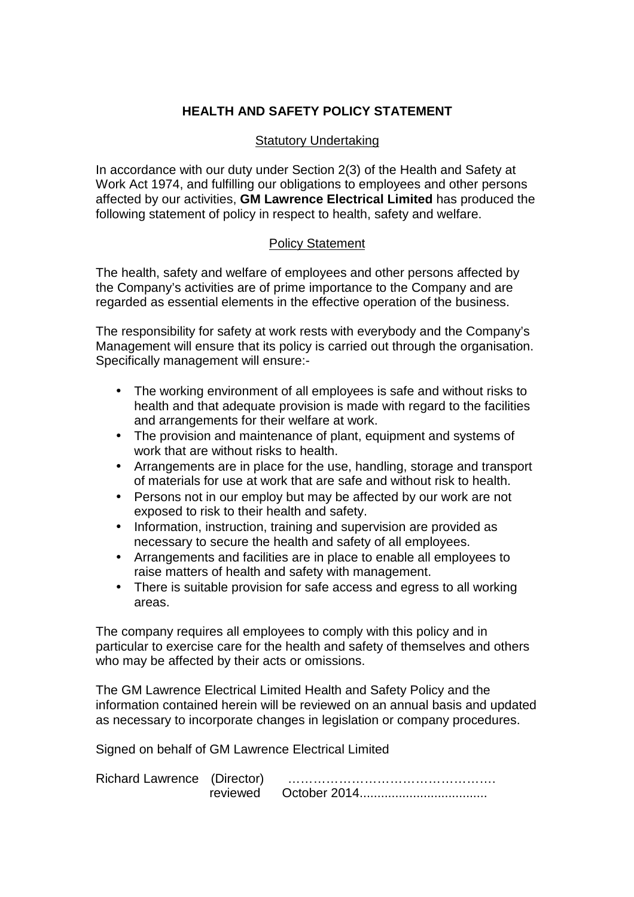# **HEALTH AND SAFETY POLICY STATEMENT**

#### Statutory Undertaking

In accordance with our duty under Section 2(3) of the Health and Safety at Work Act 1974, and fulfilling our obligations to employees and other persons affected by our activities, **GM Lawrence Electrical Limited** has produced the following statement of policy in respect to health, safety and welfare.

#### Policy Statement

The health, safety and welfare of employees and other persons affected by the Company's activities are of prime importance to the Company and are regarded as essential elements in the effective operation of the business.

The responsibility for safety at work rests with everybody and the Company's Management will ensure that its policy is carried out through the organisation. Specifically management will ensure:-

- The working environment of all employees is safe and without risks to health and that adequate provision is made with regard to the facilities and arrangements for their welfare at work.
- The provision and maintenance of plant, equipment and systems of work that are without risks to health.
- Arrangements are in place for the use, handling, storage and transport of materials for use at work that are safe and without risk to health.
- Persons not in our employ but may be affected by our work are not exposed to risk to their health and safety.
- Information, instruction, training and supervision are provided as necessary to secure the health and safety of all employees.
- Arrangements and facilities are in place to enable all employees to raise matters of health and safety with management.
- There is suitable provision for safe access and egress to all working areas.

The company requires all employees to comply with this policy and in particular to exercise care for the health and safety of themselves and others who may be affected by their acts or omissions.

The GM Lawrence Electrical Limited Health and Safety Policy and the information contained herein will be reviewed on an annual basis and updated as necessary to incorporate changes in legislation or company procedures.

Signed on behalf of GM Lawrence Electrical Limited

| Richard Lawrence (Director) |  |
|-----------------------------|--|
|                             |  |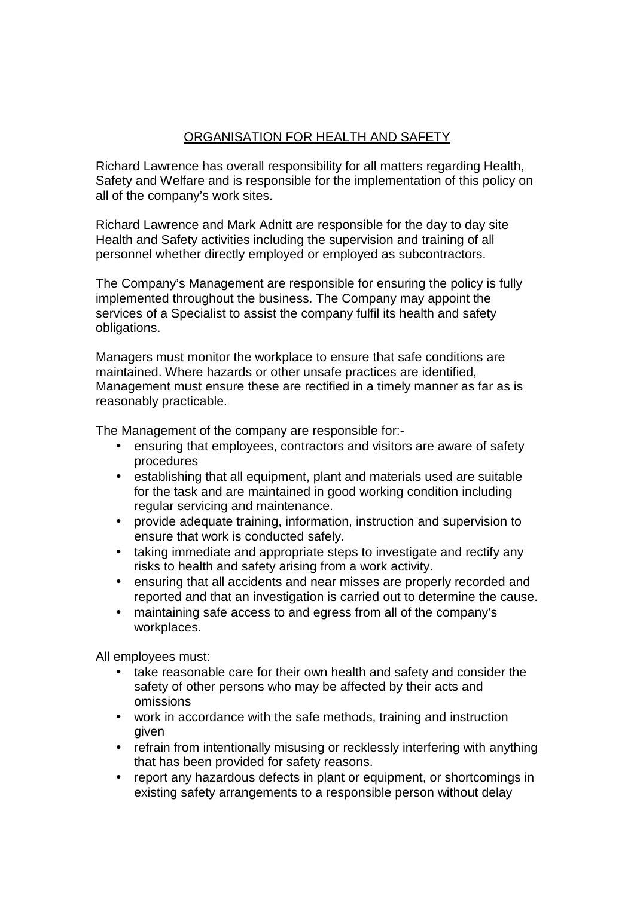# ORGANISATION FOR HEALTH AND SAFETY

Richard Lawrence has overall responsibility for all matters regarding Health, Safety and Welfare and is responsible for the implementation of this policy on all of the company's work sites.

Richard Lawrence and Mark Adnitt are responsible for the day to day site Health and Safety activities including the supervision and training of all personnel whether directly employed or employed as subcontractors.

The Company's Management are responsible for ensuring the policy is fully implemented throughout the business. The Company may appoint the services of a Specialist to assist the company fulfil its health and safety obligations.

Managers must monitor the workplace to ensure that safe conditions are maintained. Where hazards or other unsafe practices are identified, Management must ensure these are rectified in a timely manner as far as is reasonably practicable.

The Management of the company are responsible for:-

- ensuring that employees, contractors and visitors are aware of safety procedures
- establishing that all equipment, plant and materials used are suitable for the task and are maintained in good working condition including regular servicing and maintenance.
- provide adequate training, information, instruction and supervision to ensure that work is conducted safely.
- taking immediate and appropriate steps to investigate and rectify any risks to health and safety arising from a work activity.
- ensuring that all accidents and near misses are properly recorded and reported and that an investigation is carried out to determine the cause.
- maintaining safe access to and egress from all of the company's workplaces.

All employees must:

- take reasonable care for their own health and safety and consider the safety of other persons who may be affected by their acts and omissions
- work in accordance with the safe methods, training and instruction given
- refrain from intentionally misusing or recklessly interfering with anything that has been provided for safety reasons.
- report any hazardous defects in plant or equipment, or shortcomings in existing safety arrangements to a responsible person without delay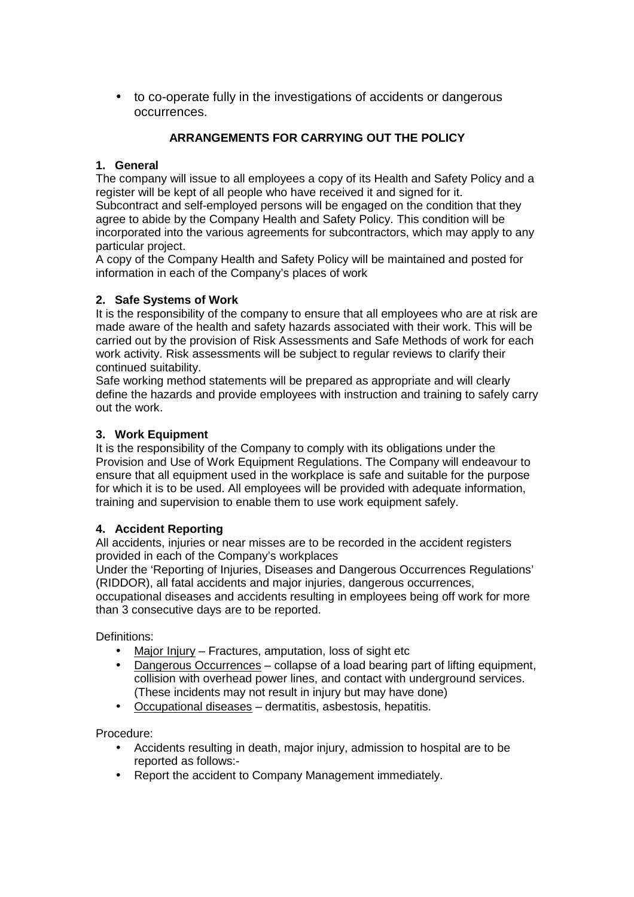• to co-operate fully in the investigations of accidents or dangerous occurrences.

# **ARRANGEMENTS FOR CARRYING OUT THE POLICY**

# **1. General**

The company will issue to all employees a copy of its Health and Safety Policy and a register will be kept of all people who have received it and signed for it. Subcontract and self-employed persons will be engaged on the condition that they agree to abide by the Company Health and Safety Policy. This condition will be incorporated into the various agreements for subcontractors, which may apply to any particular project.

A copy of the Company Health and Safety Policy will be maintained and posted for information in each of the Company's places of work

#### **2. Safe Systems of Work**

It is the responsibility of the company to ensure that all employees who are at risk are made aware of the health and safety hazards associated with their work. This will be carried out by the provision of Risk Assessments and Safe Methods of work for each work activity. Risk assessments will be subject to regular reviews to clarify their continued suitability.

Safe working method statements will be prepared as appropriate and will clearly define the hazards and provide employees with instruction and training to safely carry out the work.

#### **3. Work Equipment**

It is the responsibility of the Company to comply with its obligations under the Provision and Use of Work Equipment Regulations. The Company will endeavour to ensure that all equipment used in the workplace is safe and suitable for the purpose for which it is to be used. All employees will be provided with adequate information, training and supervision to enable them to use work equipment safely.

#### **4. Accident Reporting**

All accidents, injuries or near misses are to be recorded in the accident registers provided in each of the Company's workplaces

Under the 'Reporting of Injuries, Diseases and Dangerous Occurrences Regulations' (RIDDOR), all fatal accidents and major injuries, dangerous occurrences,

occupational diseases and accidents resulting in employees being off work for more than 3 consecutive days are to be reported.

Definitions:

- Major Injury Fractures, amputation, loss of sight etc
- Dangerous Occurrences collapse of a load bearing part of lifting equipment, collision with overhead power lines, and contact with underground services. (These incidents may not result in injury but may have done)
- Occupational diseases dermatitis, asbestosis, hepatitis.

Procedure:

- Accidents resulting in death, major injury, admission to hospital are to be reported as follows:-
- Report the accident to Company Management immediately.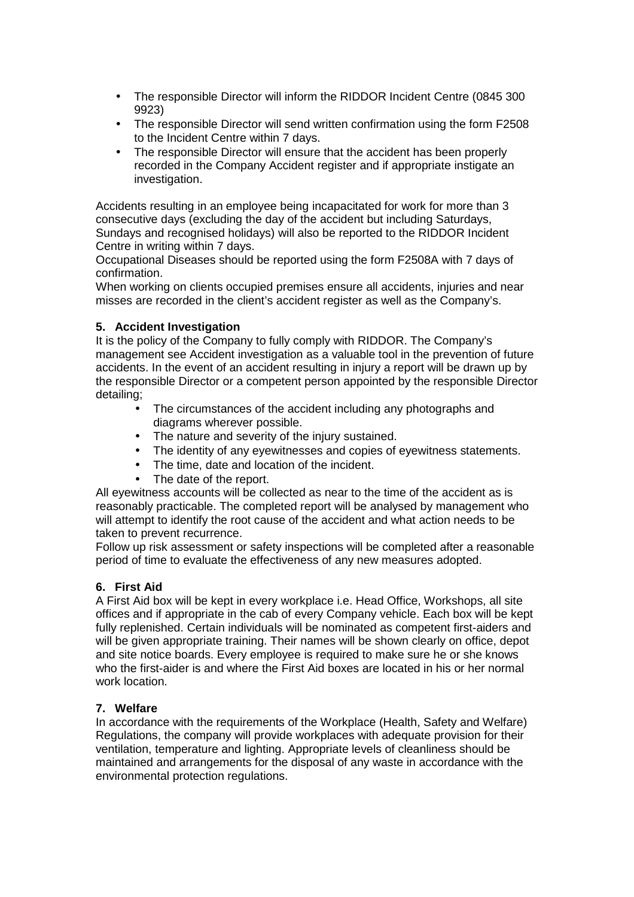- The responsible Director will inform the RIDDOR Incident Centre (0845 300 9923)
- The responsible Director will send written confirmation using the form F2508 to the Incident Centre within 7 days.
- The responsible Director will ensure that the accident has been properly recorded in the Company Accident register and if appropriate instigate an investigation.

Accidents resulting in an employee being incapacitated for work for more than 3 consecutive days (excluding the day of the accident but including Saturdays, Sundays and recognised holidays) will also be reported to the RIDDOR Incident Centre in writing within 7 days.

Occupational Diseases should be reported using the form F2508A with 7 days of confirmation.

When working on clients occupied premises ensure all accidents, injuries and near misses are recorded in the client's accident register as well as the Company's.

#### **5. Accident Investigation**

It is the policy of the Company to fully comply with RIDDOR. The Company's management see Accident investigation as a valuable tool in the prevention of future accidents. In the event of an accident resulting in injury a report will be drawn up by the responsible Director or a competent person appointed by the responsible Director detailing;

- The circumstances of the accident including any photographs and diagrams wherever possible.
- The nature and severity of the injury sustained.
- The identity of any eyewitnesses and copies of eyewitness statements.
- The time, date and location of the incident.
- The date of the report.

All eyewitness accounts will be collected as near to the time of the accident as is reasonably practicable. The completed report will be analysed by management who will attempt to identify the root cause of the accident and what action needs to be taken to prevent recurrence.

Follow up risk assessment or safety inspections will be completed after a reasonable period of time to evaluate the effectiveness of any new measures adopted.

#### **6. First Aid**

A First Aid box will be kept in every workplace i.e. Head Office, Workshops, all site offices and if appropriate in the cab of every Company vehicle. Each box will be kept fully replenished. Certain individuals will be nominated as competent first-aiders and will be given appropriate training. Their names will be shown clearly on office, depot and site notice boards. Every employee is required to make sure he or she knows who the first-aider is and where the First Aid boxes are located in his or her normal work location.

#### **7. Welfare**

In accordance with the requirements of the Workplace (Health, Safety and Welfare) Regulations, the company will provide workplaces with adequate provision for their ventilation, temperature and lighting. Appropriate levels of cleanliness should be maintained and arrangements for the disposal of any waste in accordance with the environmental protection regulations.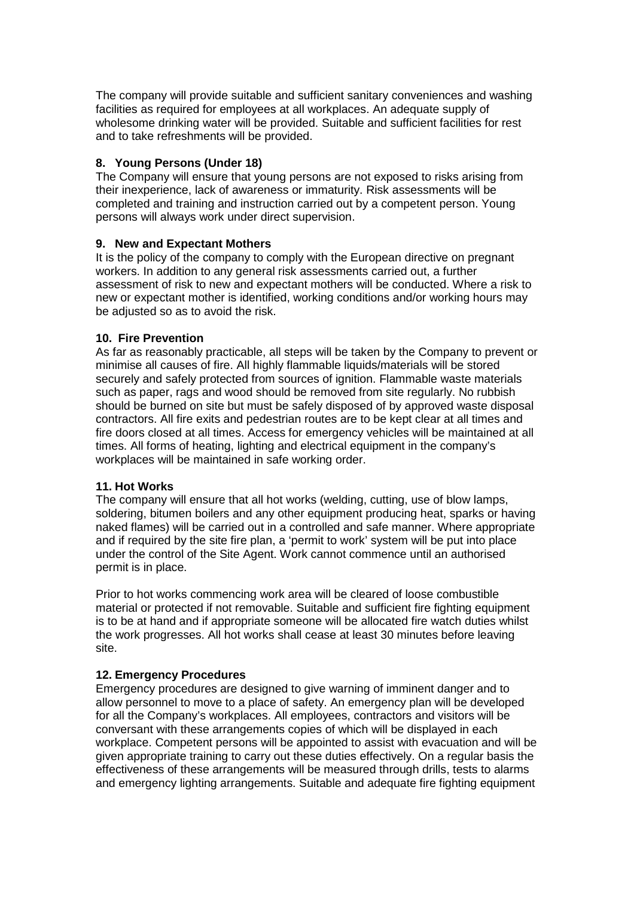The company will provide suitable and sufficient sanitary conveniences and washing facilities as required for employees at all workplaces. An adequate supply of wholesome drinking water will be provided. Suitable and sufficient facilities for rest and to take refreshments will be provided.

#### **8. Young Persons (Under 18)**

The Company will ensure that young persons are not exposed to risks arising from their inexperience, lack of awareness or immaturity. Risk assessments will be completed and training and instruction carried out by a competent person. Young persons will always work under direct supervision.

#### **9. New and Expectant Mothers**

It is the policy of the company to comply with the European directive on pregnant workers. In addition to any general risk assessments carried out, a further assessment of risk to new and expectant mothers will be conducted. Where a risk to new or expectant mother is identified, working conditions and/or working hours may be adjusted so as to avoid the risk.

#### **10. Fire Prevention**

As far as reasonably practicable, all steps will be taken by the Company to prevent or minimise all causes of fire. All highly flammable liquids/materials will be stored securely and safely protected from sources of ignition. Flammable waste materials such as paper, rags and wood should be removed from site regularly. No rubbish should be burned on site but must be safely disposed of by approved waste disposal contractors. All fire exits and pedestrian routes are to be kept clear at all times and fire doors closed at all times. Access for emergency vehicles will be maintained at all times. All forms of heating, lighting and electrical equipment in the company's workplaces will be maintained in safe working order.

#### **11. Hot Works**

The company will ensure that all hot works (welding, cutting, use of blow lamps, soldering, bitumen boilers and any other equipment producing heat, sparks or having naked flames) will be carried out in a controlled and safe manner. Where appropriate and if required by the site fire plan, a 'permit to work' system will be put into place under the control of the Site Agent. Work cannot commence until an authorised permit is in place.

Prior to hot works commencing work area will be cleared of loose combustible material or protected if not removable. Suitable and sufficient fire fighting equipment is to be at hand and if appropriate someone will be allocated fire watch duties whilst the work progresses. All hot works shall cease at least 30 minutes before leaving site.

#### **12. Emergency Procedures**

Emergency procedures are designed to give warning of imminent danger and to allow personnel to move to a place of safety. An emergency plan will be developed for all the Company's workplaces. All employees, contractors and visitors will be conversant with these arrangements copies of which will be displayed in each workplace. Competent persons will be appointed to assist with evacuation and will be given appropriate training to carry out these duties effectively. On a regular basis the effectiveness of these arrangements will be measured through drills, tests to alarms and emergency lighting arrangements. Suitable and adequate fire fighting equipment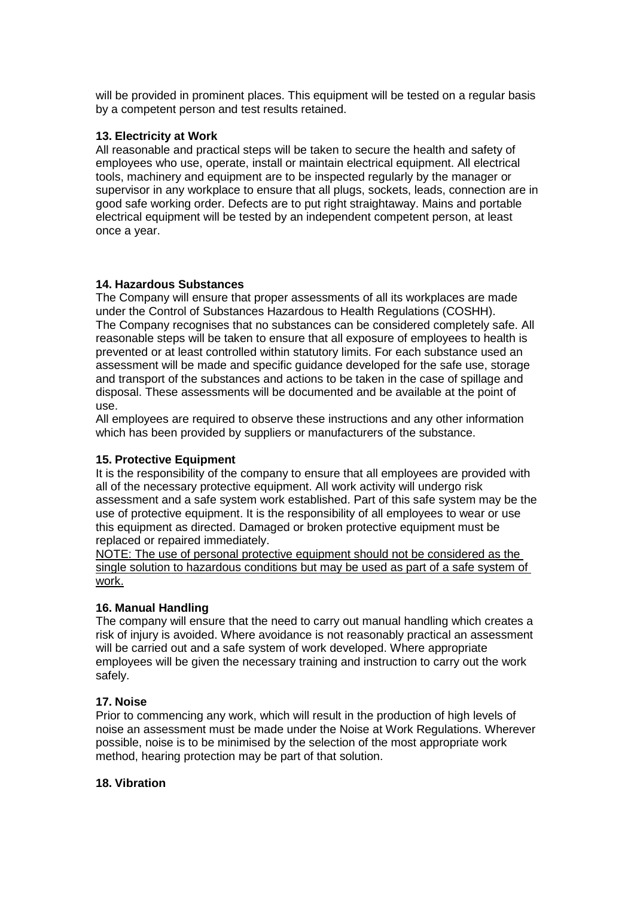will be provided in prominent places. This equipment will be tested on a regular basis by a competent person and test results retained.

#### **13. Electricity at Work**

All reasonable and practical steps will be taken to secure the health and safety of employees who use, operate, install or maintain electrical equipment. All electrical tools, machinery and equipment are to be inspected regularly by the manager or supervisor in any workplace to ensure that all plugs, sockets, leads, connection are in good safe working order. Defects are to put right straightaway. Mains and portable electrical equipment will be tested by an independent competent person, at least once a year.

#### **14. Hazardous Substances**

The Company will ensure that proper assessments of all its workplaces are made under the Control of Substances Hazardous to Health Regulations (COSHH). The Company recognises that no substances can be considered completely safe. All reasonable steps will be taken to ensure that all exposure of employees to health is prevented or at least controlled within statutory limits. For each substance used an assessment will be made and specific guidance developed for the safe use, storage and transport of the substances and actions to be taken in the case of spillage and disposal. These assessments will be documented and be available at the point of use.

All employees are required to observe these instructions and any other information which has been provided by suppliers or manufacturers of the substance.

#### **15. Protective Equipment**

It is the responsibility of the company to ensure that all employees are provided with all of the necessary protective equipment. All work activity will undergo risk assessment and a safe system work established. Part of this safe system may be the use of protective equipment. It is the responsibility of all employees to wear or use this equipment as directed. Damaged or broken protective equipment must be replaced or repaired immediately.

NOTE: The use of personal protective equipment should not be considered as the single solution to hazardous conditions but may be used as part of a safe system of work.

# **16. Manual Handling**

The company will ensure that the need to carry out manual handling which creates a risk of injury is avoided. Where avoidance is not reasonably practical an assessment will be carried out and a safe system of work developed. Where appropriate employees will be given the necessary training and instruction to carry out the work safely.

#### **17. Noise**

Prior to commencing any work, which will result in the production of high levels of noise an assessment must be made under the Noise at Work Regulations. Wherever possible, noise is to be minimised by the selection of the most appropriate work method, hearing protection may be part of that solution.

#### **18. Vibration**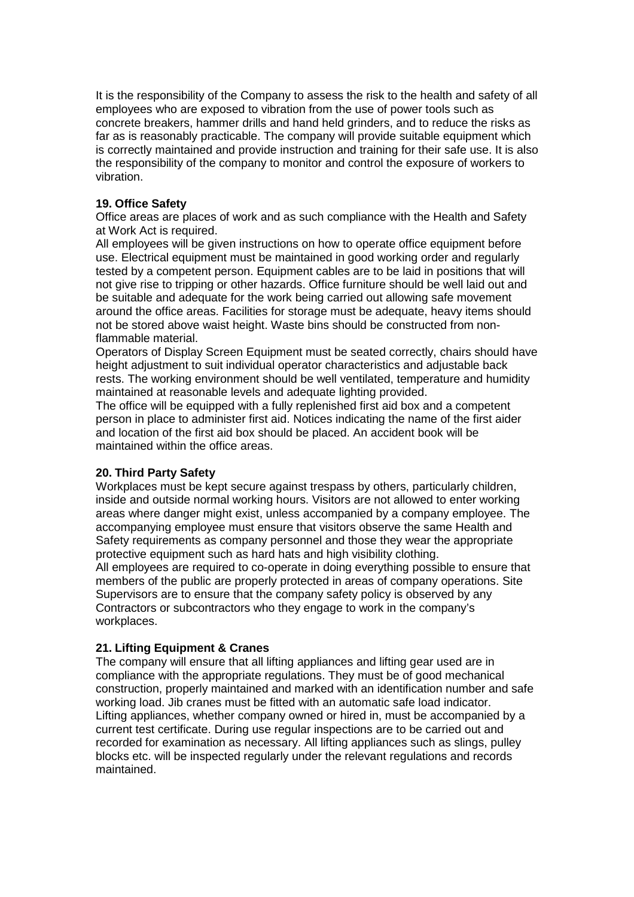It is the responsibility of the Company to assess the risk to the health and safety of all employees who are exposed to vibration from the use of power tools such as concrete breakers, hammer drills and hand held grinders, and to reduce the risks as far as is reasonably practicable. The company will provide suitable equipment which is correctly maintained and provide instruction and training for their safe use. It is also the responsibility of the company to monitor and control the exposure of workers to vibration.

#### **19. Office Safety**

Office areas are places of work and as such compliance with the Health and Safety at Work Act is required.

All employees will be given instructions on how to operate office equipment before use. Electrical equipment must be maintained in good working order and regularly tested by a competent person. Equipment cables are to be laid in positions that will not give rise to tripping or other hazards. Office furniture should be well laid out and be suitable and adequate for the work being carried out allowing safe movement around the office areas. Facilities for storage must be adequate, heavy items should not be stored above waist height. Waste bins should be constructed from nonflammable material.

Operators of Display Screen Equipment must be seated correctly, chairs should have height adjustment to suit individual operator characteristics and adjustable back rests. The working environment should be well ventilated, temperature and humidity maintained at reasonable levels and adequate lighting provided.

The office will be equipped with a fully replenished first aid box and a competent person in place to administer first aid. Notices indicating the name of the first aider and location of the first aid box should be placed. An accident book will be maintained within the office areas.

#### **20. Third Party Safety**

Workplaces must be kept secure against trespass by others, particularly children, inside and outside normal working hours. Visitors are not allowed to enter working areas where danger might exist, unless accompanied by a company employee. The accompanying employee must ensure that visitors observe the same Health and Safety requirements as company personnel and those they wear the appropriate protective equipment such as hard hats and high visibility clothing.

All employees are required to co-operate in doing everything possible to ensure that members of the public are properly protected in areas of company operations. Site Supervisors are to ensure that the company safety policy is observed by any Contractors or subcontractors who they engage to work in the company's workplaces.

# **21. Lifting Equipment & Cranes**

The company will ensure that all lifting appliances and lifting gear used are in compliance with the appropriate regulations. They must be of good mechanical construction, properly maintained and marked with an identification number and safe working load. Jib cranes must be fitted with an automatic safe load indicator. Lifting appliances, whether company owned or hired in, must be accompanied by a current test certificate. During use regular inspections are to be carried out and recorded for examination as necessary. All lifting appliances such as slings, pulley blocks etc. will be inspected regularly under the relevant regulations and records maintained.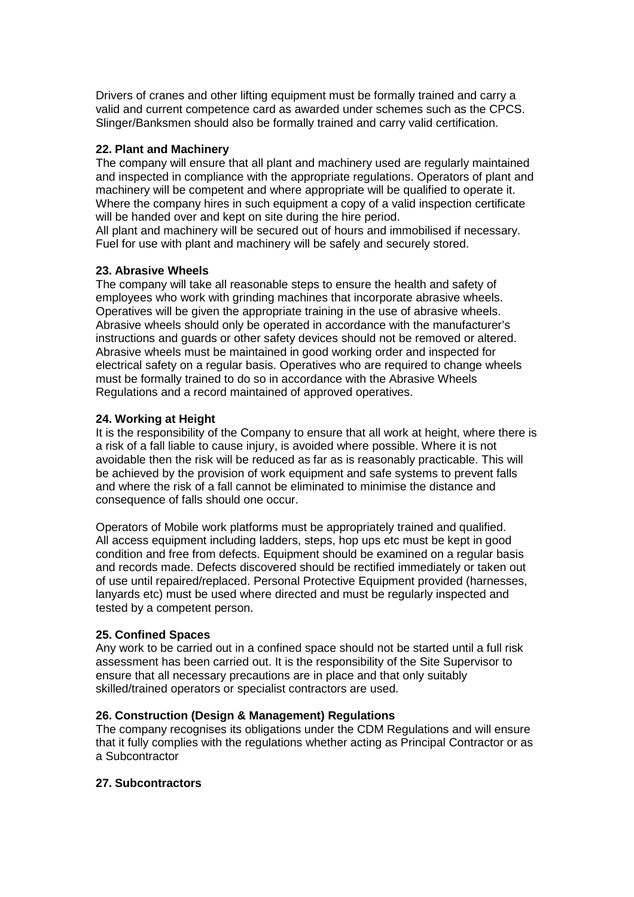Drivers of cranes and other lifting equipment must be formally trained and carry a valid and current competence card as awarded under schemes such as the CPCS. Slinger/Banksmen should also be formally trained and carry valid certification.

#### **22. Plant and Machinery**

The company will ensure that all plant and machinery used are regularly maintained and inspected in compliance with the appropriate regulations. Operators of plant and machinery will be competent and where appropriate will be qualified to operate it. Where the company hires in such equipment a copy of a valid inspection certificate will be handed over and kept on site during the hire period.

All plant and machinery will be secured out of hours and immobilised if necessary. Fuel for use with plant and machinery will be safely and securely stored.

#### **23. Abrasive Wheels**

The company will take all reasonable steps to ensure the health and safety of employees who work with grinding machines that incorporate abrasive wheels. Operatives will be given the appropriate training in the use of abrasive wheels. Abrasive wheels should only be operated in accordance with the manufacturer's instructions and guards or other safety devices should not be removed or altered. Abrasive wheels must be maintained in good working order and inspected for electrical safety on a regular basis. Operatives who are required to change wheels must be formally trained to do so in accordance with the Abrasive Wheels Regulations and a record maintained of approved operatives.

#### **24. Working at Height**

It is the responsibility of the Company to ensure that all work at height, where there is a risk of a fall liable to cause injury, is avoided where possible. Where it is not avoidable then the risk will be reduced as far as is reasonably practicable. This will be achieved by the provision of work equipment and safe systems to prevent falls and where the risk of a fall cannot be eliminated to minimise the distance and consequence of falls should one occur.

Operators of Mobile work platforms must be appropriately trained and qualified. All access equipment including ladders, steps, hop ups etc must be kept in good condition and free from defects. Equipment should be examined on a regular basis and records made. Defects discovered should be rectified immediately or taken out of use until repaired/replaced. Personal Protective Equipment provided (harnesses, lanyards etc) must be used where directed and must be regularly inspected and tested by a competent person.

#### **25. Confined Spaces**

Any work to be carried out in a confined space should not be started until a full risk assessment has been carried out. It is the responsibility of the Site Supervisor to ensure that all necessary precautions are in place and that only suitably skilled/trained operators or specialist contractors are used.

#### **26. Construction (Design & Management) Regulations**

The company recognises its obligations under the CDM Regulations and will ensure that it fully complies with the regulations whether acting as Principal Contractor or as a Subcontractor

#### **27. Subcontractors**